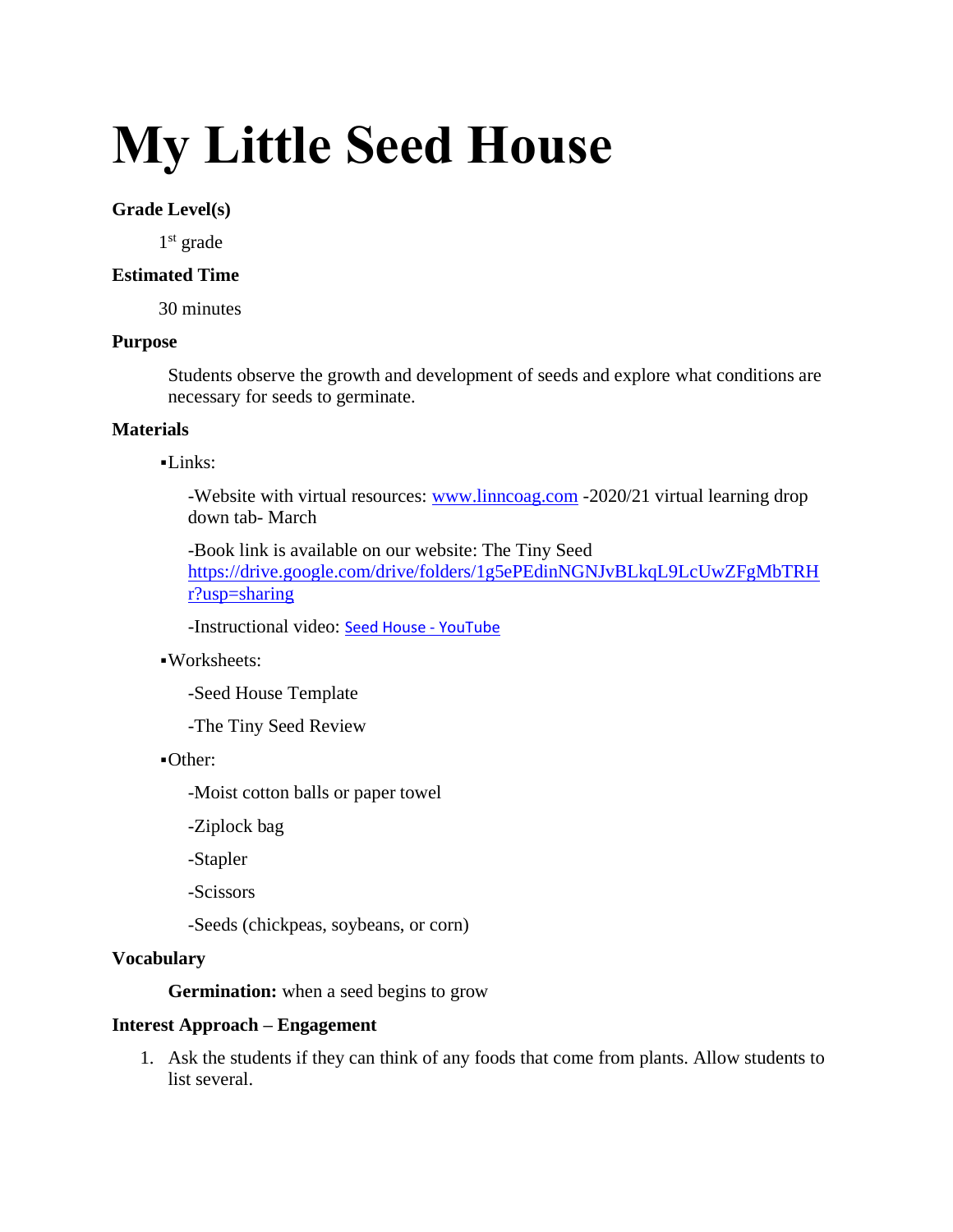# **My Little Seed House**

#### **Grade Level(s)**

1<sup>st</sup> grade

### **Estimated Time**

30 minutes

#### **Purpose**

Students observe the growth and development of seeds and explore what conditions are necessary for seeds to germinate.

# **Materials**

#### ▪Links:

-Website with virtual resources: [www.linncoag.com](http://www.linncoag.com/) -2020/21 virtual learning drop down tab- March

-Book link is available on our website: The Tiny Seed [https://drive.google.com/drive/folders/1g5ePEdinNGNJvBLkqL9LcUwZFgMbTRH](https://drive.google.com/drive/folders/1g5ePEdinNGNJvBLkqL9LcUwZFgMbTRHr?usp=sharing) [r?usp=sharing](https://drive.google.com/drive/folders/1g5ePEdinNGNJvBLkqL9LcUwZFgMbTRHr?usp=sharing)

-Instructional video: [Seed House -](https://www.youtube.com/watch?v=pFcgEsfM84s) YouTube

# ▪Worksheets:

-Seed House Template

-The Tiny Seed Review

#### ▪Other:

-Moist cotton balls or paper towel

-Ziplock bag

-Stapler

-Scissors

-Seeds (chickpeas, soybeans, or corn)

# **Vocabulary**

**Germination:** when a seed begins to grow

# **Interest Approach – Engagement**

1. Ask the students if they can think of any foods that come from plants. Allow students to list several.